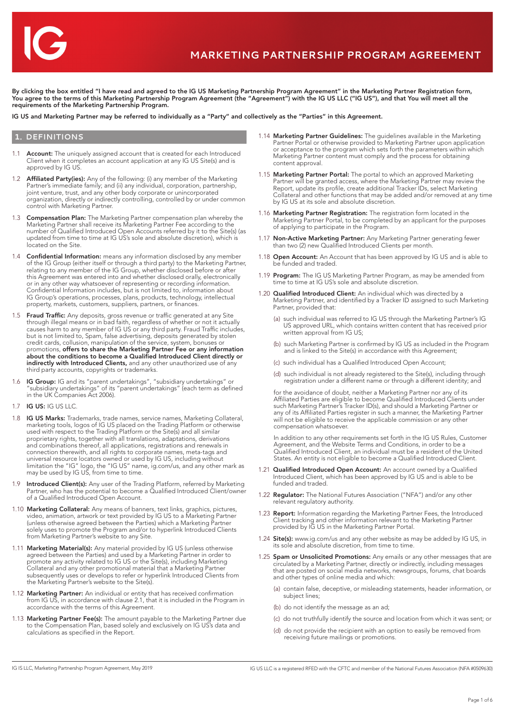

By clicking the box entitled "I have read and agreed to the IG US Marketing Partnership Program Agreement" in the Marketing Partner Registration form, You agree to the terms of this Marketing Partnership Program Agreement (the "Agreement") with the IG US LLC ("IG US"), and that You will meet all the requirements of the Marketing Partnership Program.

IG US and Marketing Partner may be referred to individually as a "Party" and collectively as the "Parties" in this Agreement.

## **1. DEFINITIONS**

- 1.1 **Account:** The uniquely assigned account that is created for each Introduced Client when it completes an account application at any IG US Site(s) and is approved by IG US.
- 1.2 **Affiliated Party(ies):** Any of the following: (i) any member of the Marketing Partner's immediate family; and (ii) any individual, corporation, partnership, joint venture, trust, and any other body corporate or unincorporated organization, directly or indirectly controlling, controlled by or under common control with Marketing Partner.
- 1.3 **Compensation Plan:** The Marketing Partner compensation plan whereby the Marketing Partner shall receive its Marketing Partner Fee according to the number of Qualified Introduced Open Accounts referred by it to the Site(s) (as updated from time to time at IG US's sole and absolute discretion), which is located on the Site.
- 1.4 Confidential Information: means any information disclosed by any member of the IG Group (either itself or through a third party) to the Marketing Partner, relating to any member of the IG Group, whether disclosed before or after this Agreement was entered into and whether disclosed orally, electronically or in any other way whatsoever of representing or recording information. Confidential Information includes, but is not limited to, information about IG Group's operations, processes, plans, products, technology, intellectual property, markets, customers, suppliers, partners, or finances
- 1.5 Fraud Traffic: Any deposits, gross revenue or traffic generated at any Site through illegal means or in bad faith, regardless of whether or not it actually causes harm to any member of IG US or any third party. Fraud Traffic includes, but is not limited to, Spam, false advertising, deposits generated by stolen credit cards, collusion, manipulation of the service, system, bonuses or<br>promotions, **offers to share the Marketing Partner Fee or any information** about the conditions to become a Qualified Introduced Client directly or indirectly with Introduced Clients, and any other unauthorized use of any third party accounts, copyrights or trademarks.
- 1.6 **IG Group:** IG and its "parent undertakings", "subsidiary undertakings" or "subsidiary undertakings" of its "parent undertakings" (each term as defined in the UK Companies Act 2006).
- 1.7 IG US: IG US LLC.
- 1.8 IG US Marks: Trademarks, trade names, service names, Marketing Collateral, marketing tools, logos of IG US placed on the Trading Platform or otherwise used with respect to the Trading Platform or the Site(s) and all similar proprietary rights, together with all translations, adaptations, derivations and combinations thereof, all applications, registrations and renewals in connection therewith, and all rights to corporate names, meta-tags and universal resource locators owned or used by IG US, including without limitation the "IG" logo, the "IG US" name, ig.com/us, and any other mark as may be used by IG US, from time to time.
- 1.9 **Introduced Client(s):** Any user of the Trading Platform, referred by Marketing Partner, who has the potential to become a Qualified Introduced Client/owner of a Qualified Introduced Open Account.
- 1.10 Marketing Collateral: Any means of banners, text links, graphics, pictures, video, animation, artwork or text provided by IG US to a Marketing Partner (unless otherwise agreed between the Parties) which a Marketing Partner solely uses to promote the Program and/or to hyperlink Introduced Clients from Marketing Partner's website to any Site.
- 1.11 Marketing Material(s): Any material provided by IG US (unless otherwise agreed between the Parties) and used by a Marketing Partner in order to promote any activity related to IG US or the Site(s), including Marketing Collateral and any other promotional material that a Marketing Partner subsequently uses or develops to refer or hyperlink Introduced Clients from the Marketing Partner's website to the Site(s).
- 1.12 Marketing Partner: An individual or entity that has received confirmation from IG US, in accordance with clause 2.1, that it is included in the Program in accordance with the terms of this Agreement.
- 1.13 Marketing Partner Fee(s): The amount payable to the Marketing Partner due to the Compensation Plan, based solely and exclusively on IG US's data and calculations as specified in the Report.
- 1.14 Marketing Partner Guidelines: The quidelines available in the Marketing Partner Portal or otherwise provided to Marketing Partner upon application or acceptance to the program which sets forth the parameters within which Marketing Partner content must comply and the process for obtaining content approval.
- 1.15 Marketing Partner Portal: The portal to which an approved Marketing Partner will be granted access, where the Marketing Partner may review the Report, update its profile, create additional Tracker IDs, select Marketing Collateral and other functions that may be added and/or removed at any time by IG US at its sole and absolute discretion.
- 1.16 Marketing Partner Registration: The registration form located in the Marketing Partner Portal, to be completed by an applicant for the purposes of applying to participate in the Program.
- 1.17 Non-Active Marketing Partner: Any Marketing Partner generating fewer than two (2) new Qualified Introduced Clients per month.
- 1.18 Open Account: An Account that has been approved by IG US and is able to be funded and traded.
- 1.19 Program: The IG US Marketing Partner Program, as may be amended from time to time at IG US's sole and absolute discretion.
- 1.20 **Qualified Introduced Client:** An individual which was directed by a Marketing Partner, and identified by a Tracker ID assigned to such Marketing Partner, provided that:
	- (a) such individual was referred to IG US through the Marketing Partner's IG US approved URL, which contains written content that has received prior written approval from IG US;
	- (b) such Marketing Partner is confirmed by IG US as included in the Program and is linked to the Site(s) in accordance with this Agreement;
	- (c) such individual has a Qualified Introduced Open Account;
- (d) such individual is not already registered to the Site(s), including through registration under a different name or through a different identity; and

 for the avoidance of doubt, neither a Marketing Partner nor any of its Affiliated Parties are eligible to become Qualified Introduced Clients under such Marketing Partner's Tracker ID(s), and should a Marketing Partner or any of its Affiliated Parties register in such a manner, the Marketing Partner will not be eligible to receive the applicable commission or any other compensation whatsoever.

 In addition to any other requirements set forth in the IG US Rules, Customer Agreement, and the Website Terms and Conditions, in order to be a Qualified Introduced Client, an individual must be a resident of the United States. An entity is not eligible to become a Qualified Introduced Client.

- 1.21 **Qualified Introduced Open Account:** An account owned by a Qualified Introduced Client, which has been approved by IG US and is able to be funded and traded.
- 1.22 Regulator: The National Futures Association ("NFA") and/or any other relevant regulatory authority.
- 1.23 Report: Information regarding the Marketing Partner Fees, the Introduced Client tracking and other information relevant to the Marketing Partner provided by IG US in the Marketing Partner Portal.
- 1.24 **Site(s):** www.ig.com/us and any other website as may be added by IG US, in its sole and absolute discretion, from time to time.
- 1.25 Spam or Unsolicited Promotions: Any emails or any other messages that are circulated by a Marketing Partner, directly or indirectly, including messages that are posted on social media networks, newsgroups, forums, chat boards and other types of online media and which:
	- (a) contain false, deceptive, or misleading statements, header information, or subject lines;
	- (b) do not identify the message as an ad;
	- (c) do not truthfully identify the source and location from which it was sent; or
	- (d) do not provide the recipient with an option to easily be removed from receiving future mailings or promotions.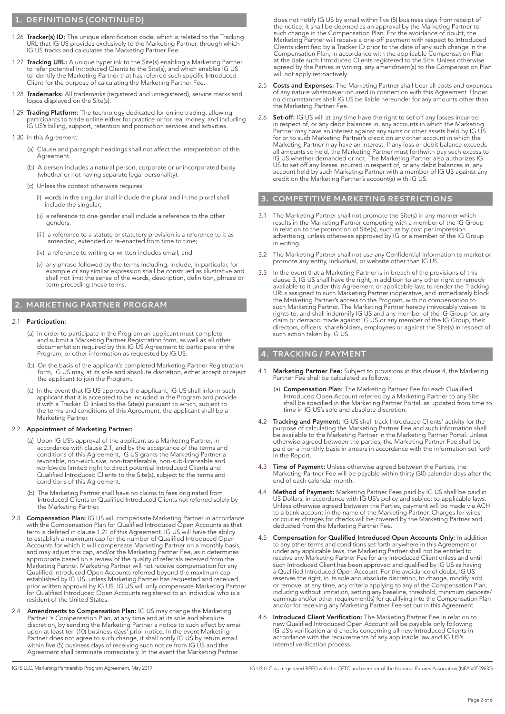## **1. DEFINITIONS (CONTINUED)**

- 1.26 Tracker(s) ID: The unique identification code, which is related to the Tracking URL that IG US provides exclusively to the Marketing Partner, through which IG US tracks and calculates the Marketing Partner Fee.
- 1.27 Tracking URL: A unique hyperlink to the Site(s) enabling a Marketing Partner to refer potential Introduced Clients to the Site(s), and which enables IG US to identify the Marketing Partner that has referred such specific Introduced Client for the purpose of calculating the Marketing Partner Fee.
- 1.28 Trademarks: All trademarks (registered and unregistered), service marks and logos displayed on the Site(s).
- 1.29 Trading Platform: The technology dedicated for online trading, allowing participants to trade online either for practice or for real money, and including IG US's billing, support, retention and promotion services and activities.
- 1.30 In this Agreement:
	- (a) Clause and paragraph headings shall not affect the interpretation of this Agreement.
	- (b) A person includes a natural person, corporate or unincorporated body (whether or not having separate legal personality).
	- (c) Unless the context otherwise requires:
		- (i) words in the singular shall include the plural and in the plural shall include the singular;
		- (ii) a reference to one gender shall include a reference to the other genders;
- (iii) a reference to a statute or statutory provision is a reference to it as amended, extended or re-enacted from time to time;
	- (iv) a reference to writing or written includes email; and
	- (v) any phrase followed by the terms including, include, in particular, for example or any similar expression shall be construed as illustrative and shall not limit the sense of the words, description, definition, phrase or term preceding those terms.

## **2. MARKETING PARTNER PROGRAM**

#### 2.1 Participation:

- (a) In order to participate in the Program an applicant must complete and submit a Marketing Partner Registration form, as well as all other documentation required by this IG US Agreement to participate in the Program, or other information as requested by IG US.
- (b) On the basis of the applicant's completed Marketing Partner Registration form, IG US may, at its sole and absolute discretion, either accept or reject the applicant to join the Program.
- (c) In the event that IG US approves the applicant, IG US shall inform such applicant that it is accepted to be included in the Program and provide it with a Tracker ID linked to the Site(s) pursuant to which, subject to the terms and conditions of this Agreement, the applicant shall be a Marketing Partner.

### 2.2 Appointment of Marketing Partner:

- (a) Upon IG US's approval of the applicant as a Marketing Partner, in accordance with clause 2.1, and by the acceptance of the terms and conditions of this Agreement, IG US grants the Marketing Partner a revocable, non-exclusive, non-transferable, non-sub-licensable and worldwide limited right to direct potential Introduced Clients and Qualified Introduced Clients to the Site(s), subject to the terms and conditions of this Agreement.
- (b) The Marketing Partner shall have no claims to fees originated from Introduced Clients or Qualified Introduced Clients not referred solely by the Marketing Partner.
- 2.3 **Compensation Plan:** IG US will compensate Marketing Partner in accordance with the Compensation Plan for Qualified Introduced Open Accounts as that term is defined in clause 1.21 of this Agreement. IG US will have the ability to establish a maximum cap for the number of Qualified Introduced Open Accounts for which it will compensate Marketing Partner on a monthly basis, and may adjust this cap, and/or the Marketing Partner Fee, as it determines appropriate based on a review of the quality of referrals received from the Marketing Partner. Marketing Partner will not receive compensation for any Qualified Introduced Open Accounts referred beyond the maximum cap established by IG US, unless Marketing Partner has requested and received prior written approval by IG US. IG US will only compensate Marketing Partner for Qualified Introduced Open Accounts registered to an individual who is a resident of the United States.
- 2.4 Amendments to Compensation Plan: IG US may change the Marketing Partner 's Compensation Plan, at any time and at its sole and absolute discretion, by sending the Marketing Partner a notice to such effect by email upon at least ten (10) business days' prior notice. In the event Marketing Partner does not agree to such change, it shall notify IG US by return email within five (5) business days of receiving such notice from IG US and the Agreement shall terminate immediately. In the event the Marketing Partner

does not notify IG US by email within five (5) business days from receipt of the notice, it shall be deemed as an approval by the Marketing Partner to such change in the Compensation Plan. For the avoidance of doubt, the Marketing Partner will receive a one-off payment with respect to Introduced Clients identified by a Tracker ID prior to the date of any such change in the Compensation Plan, in accordance with the applicable Compensation Plan at the date such Introduced Clients registered to the Site. Unless otherwise agreed by the Parties in writing, any amendment(s) to the Compensation Plan will not apply retroactively.

- 2.5 Costs and Expenses: The Marketing Partner shall bear all costs and expenses of any nature whatsoever incurred in connection with this Agreement. Under no circumstances shall IG US be liable hereunder for any amounts other than the Marketing Partner Fee.
- 2.6 **Set-off:** IG US will at any time have the right to set off any losses incurred in respect of, or any debit balances in, any accounts in which the Marketing Partner may have an interest against any sums or other assets held by IG US for or to such Marketing Partner's credit on any other account in which the Marketing Partner may have an interest. If any loss or debit balance exceeds all amounts so held, the Marketing Partner must forthwith pay such excess to IG US whether demanded or not. The Marketing Partner also authorizes IG US to set off any losses incurred in respect of, or any debit balances in, any account held by such Marketing Partner with a member of IG US against any credit on the Marketing Partner's account(s) with IG US.

## **3. COMPETITIVE MARKETING RESTRICTIONS**

- 3.1 The Marketing Partner shall not promote the Site(s) in any manner which results in the Marketing Partner competing with a member of the IG Group in relation to the promotion of Site(s), such as by cost per impression advertising, unless otherwise approved by IG or a member of the IG Group in writing.
- 3.2 The Marketing Partner shall not use any Confidential Information to market or promote any entity, individual, or website other than IG US.
- 3.3 In the event that a Marketing Partner is in breach of the provisions of this clause 3, IG US shall have the right, in addition to any other right or remedy available to it under this Agreement or applicable law, to render the Tracking URLs assigned to such Marketing Partner inoperative, and immediately block the Marketing Partner's access to the Program, with no compensation to such Marketing Partner. The Marketing Partner hereby irrevocably waives its rights to, and shall indemnify IG US and any member of the IG Group for, any claim or demand made against IG US or any member of the IG Group, their directors, officers, shareholders, employees or against the Site(s) in respect of such action taken by IG US.

## **4. TRACKING / PAYMENT**

- 4.1 Marketing Partner Fee: Subject to provisions in this clause 4, the Marketing Partner Fee shall be calculated as follows:
	- (a) Compensation Plan: The Marketing Partner Fee for each Qualified Introduced Open Account referred by a Marketing Partner to any Site shall be specified in the Marketing Partner Portal, as updated from time to time in IG US's sole and absolute discretion.
- 4.2 Tracking and Payment: IG US shall track Introduced Clients' activity for the purpose of calculating the Marketing Partner Fee and such information shall be available to the Marketing Partner in the Marketing Partner Portal. Unless otherwise agreed between the parties, the Marketing Partner Fee shall be paid on a monthly basis in arrears in accordance with the information set forth in the Report.
- 4.3 Time of Payment: Unless otherwise agreed between the Parties, the Marketing Partner Fee will be payable within thirty (30) calendar days after the end of each calendar month.
- 4.4 **Method of Payment:** Marketing Partner Fees paid by IG US shall be paid in US Dollars, in accordance with IG US's policy and subject to applicable laws. Unless otherwise agreed between the Parties, payment will be made via ACH to a bank account in the name of the Marketing Partner. Charges for wires or courier charges for checks will be covered by the Marketing Partner and deducted from the Marketing Partner Fee.
- 4.5 Compensation for Qualified Introduced Open Accounts Only: In addition to any other terms and conditions set forth anywhere in this Agreement or under any applicable laws, the Marketing Partner shall not be entitled to receive any Marketing Partner Fee for any Introduced Client unless and until such Introduced Client has been approved and qualified by IG US as having a Qualified Introduced Open Account. For the avoidance of doubt, IG US reserves the right, in its sole and absolute discretion, to change, modify, add or remove, at any time, any criteria applying to any of the Compensation Plan, including without limitation, setting any baseline, threshold, minimum deposits/ earnings and/or other requirement(s) for qualifying into the Compensation Plan and/or for receiving any Marketing Partner Fee set out in this Agreement.
- 4.6 Introduced Client Verification: The Marketing Partner Fee in relation to new Qualified Introduced Open Account will be payable only following IG US's verification and checks concerning all new Introduced Clients in accordance with the requirements of any applicable law and IG US's internal verification process.

IG IS LLC, Marketing Partnership Program Agreement, May 2019 **IG US LLC is a registered RFED with the CFTC** and member of the National Futures Association (NFA #0509630)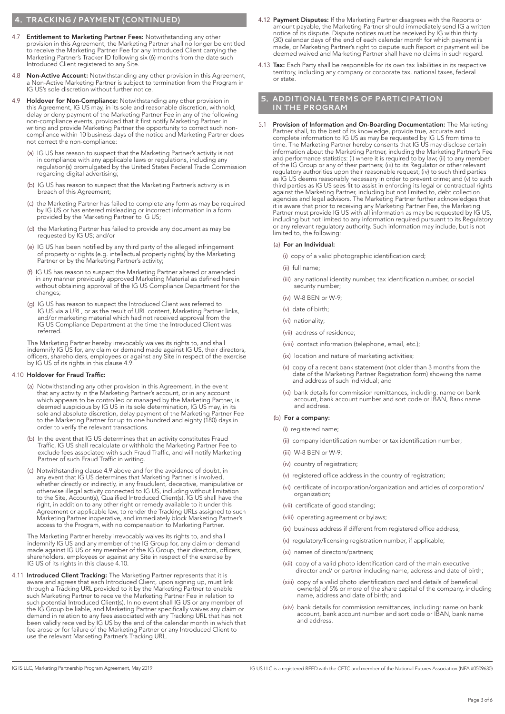# **4. TRACKING / PAYMENT (CONTINUED)**

- 4.7 Entitlement to Marketing Partner Fees: Notwithstanding any other provision in this Agreement, the Marketing Partner shall no longer be entitled to receive the Marketing Partner Fee for any Introduced Client carrying the Marketing Partner's Tracker ID following six (6) months from the date such Introduced Client registered to any Site.
- 4.8 Non-Active Account: Notwithstanding any other provision in this Agreement, a Non-Active Marketing Partner is subject to termination from the Program in IG US's sole discretion without further notice.
- 4.9 Holdover for Non-Compliance: Notwithstanding any other provision in this Agreement, IG US may, in its sole and reasonable discretion, withhold, delay or deny payment of the Marketing Partner Fee in any of the following non-compliance events, provided that it first notify Marketing Partner in writing and provide Marketing Partner the opportunity to correct such noncompliance within 10 business days of the notice and Marketing Partner does not correct the non-compliance:
- (a) IG US has reason to suspect that the Marketing Partner's activity is not in compliance with any applicable laws or regulations, including any regulation(s) promulgated by the United States Federal Trade Commission regarding digital advertising;
	- (b) IG US has reason to suspect that the Marketing Partner's activity is in breach of this Agreement;
- (c) the Marketing Partner has failed to complete any form as may be required by IG US or has entered misleading or incorrect information in a form provided by the Marketing Partner to IG US;
	- (d) the Marketing Partner has failed to provide any document as may be requested by IG US; and/or
	- (e) IG US has been notified by any third party of the alleged infringement of property or rights (e.g. intellectual property rights) by the Marketing Partner or by the Marketing Partner's activity;
- (f) IG US has reason to suspect the Marketing Partner altered or amended in any manner previously approved Marketing Material as defined herein without obtaining approval of the IG US Compliance Department for the changes;
	- (g) IG US has reason to suspect the Introduced Client was referred to IG US via a URL, or as the result of URL content, Marketing Partner links, and/or marketing material which had not received approval from the IG US Compliance Department at the time the Introduced Client was referred.

 The Marketing Partner hereby irrevocably waives its rights to, and shall indemnify IG US for, any claim or demand made against IG US, their directors, officers, shareholders, employees or against any Site in respect of the exercise by IG US of its rights in this clause 4.9.

#### 4.10 Holdover for Fraud Traffic:

- (a) Notwithstanding any other provision in this Agreement, in the event that any activity in the Marketing Partner's account, or in any account which appears to be controlled or managed by the Marketing Partner, is deemed suspicious by IG US in its sole determination, IG US may, in its sole and absolute discretion, delay payment of the Marketing Partner Fee to the Marketing Partner for up to one hundred and eighty (180) days in order to verify the relevant transactions.
- (b) In the event that IG US determines that an activity constitutes Fraud Traffic, IG US shall recalculate or withhold the Marketing Partner Fee to exclude fees associated with such Fraud Traffic, and will notify Marketing Partner of such Fraud Traffic in writing.
- (c) Notwithstanding clause 4.9 above and for the avoidance of doubt, in any event that IG US determines that Marketing Partner is involved, whether directly or indirectly, in any fraudulent, deceptive, manipulative or otherwise illegal activity connected to IG US, including without limitation to the Site, Account(s), Qualified Introduced Client(s). IG US shall have the right, in addition to any other right or remedy available to it under this Agreement or applicable law, to render the Tracking URLs assigned to such Marketing Partner inoperative, and immediately block Marketing Partner's access to the Program, with no compensation to Marketing Partner.

 The Marketing Partner hereby irrevocably waives its rights to, and shall indemnify IG US and any member of the IG Group for, any claim or demand made against IG US or any member of the IG Group, their directors, officers, shareholders, employees or against any Site in respect of the exercise by IG US of its rights in this clause 4.10.

4.11 Introduced Client Tracking: The Marketing Partner represents that it is aware and agrees that each Introduced Client, upon signing up, must link through a Tracking URL provided to it by the Marketing Partner to enable such Marketing Partner to receive the Marketing Partner Fee in relation to such potential Introduced Client(s). In no event shall IG US or any member of the IG Group be liable, and Marketing Partner specifically waives any claim or demand in relation to any fees associated with any Tracking URL that has not been validly received by IG US by the end of the calendar month in which that fee arose or for failure of the Marketing Partner or any Introduced Client to use the relevant Marketing Partner's Tracking URL.

- 4.12 Payment Disputes: If the Marketing Partner disagrees with the Reports or amount payable, the Marketing Partner should immediately send IG a written notice of its dispute. Dispute notices must be received by IG within thirty (30) calendar days of the end of each calendar month for which payment is made, or Marketing Partner's right to dispute such Report or payment will be deemed waived and Marketing Partner shall have no claims in such regard.
- 4.13 Tax: Each Party shall be responsible for its own tax liabilities in its respective territory, including any company or corporate tax, national taxes, federal or state.

## **5. ADDITIONAL TERMS OF PARTICIPATION IN THE PROGRAM**

5.1 Provision of Information and On-Boarding Documentation: The Marketing Partner shall, to the best of its knowledge, provide true, accurate and complete information to IG US as may be requested by IG US from time to time. The Marketing Partner hereby consents that IG US may disclose certain information about the Marketing Partner, including the Marketing Partner's Fee and performance statistics: (i) where it is required to by law; (ii) to any member of the IG Group or any of their partners; (iii) to its Regulator or other relevant regulatory authorities upon their reasonable request; (iv) to such third parties as IG US deems reasonably necessary in order to prevent crime; and (v) to such third parties as IG US sees fit to assist in enforcing its legal or contractual rights against the Marketing Partner, including but not limited to, debt collection agencies and legal advisors. The Marketing Partner further acknowledges that it is aware that prior to receiving any Marketing Partner Fee, the Marketing Partner must provide IG US with all information as may be requested by IG US, including but not limited to any information required pursuant to its Regulatory or any relevant regulatory authority. Such information may include, but is not limited to, the following:

#### (a) For an Individual:

- (i) copy of a valid photographic identification card;
- (ii) full name;
- (iii) any national identity number, tax identification number, or social security number;
- (iv) W-8 BEN or W-9;
- (v) date of birth;
- (vi) nationality;
- (vii) address of residence;
- (viii) contact information (telephone, email, etc.);
- (ix) location and nature of marketing activities;
- (x) copy of a recent bank statement (not older than 3 months from the date of the Marketing Partner Registration form) showing the name and address of such individual; and
- (xi) bank details for commission remittances, including: name on bank account, bank account number and sort code or IBAN, Bank name and address.

### (b) For a company:

- (i) registered name;
- (ii) company identification number or tax identification number;
- (iii) W-8 BEN or W-9;
- (iv) country of registration;
- (v) registered office address in the country of registration;
- (vi) certificate of incorporation/organization and articles of corporation/ organization;
- (vii) certificate of good standing;
- (viii) operating agreement or bylaws;
- (ix) business address if different from registered office address:
- (x) regulatory/licensing registration number, if applicable;
- (xi) names of directors/partners;
- (xii) copy of a valid photo identification card of the main executive director and/ or partner including name, address and date of birth;
- (xiii) copy of a valid photo identification card and details of beneficial owner(s) of 5% or more of the share capital of the company, including name, address and date of birth; and
- (xiv) bank details for commission remittances, including: name on bank account, bank account number and sort code or IBAN, bank name and address.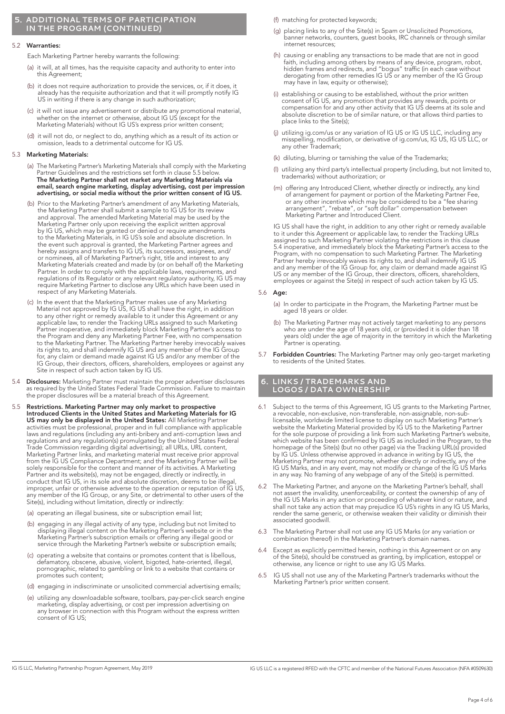### **5. ADDITIONAL TERMS OF PARTICIPATION IN THE PROGRAM (CONTINUED)**

#### 5.2 Warranties:

Each Marketing Partner hereby warrants the following:

- (a) it will, at all times, has the requisite capacity and authority to enter into this Agreement;
- (b) it does not require authorization to provide the services, or, if it does, it already has the requisite authorization and that it will promptly notify IG US in writing if there is any change in such authorization;
- (c) it will not issue any advertisement or distribute any promotional material, whether on the internet or otherwise, about IG US (except for the Marketing Materials) without IG US's express prior written consent;
- (d) it will not do, or neglect to do, anything which as a result of its action or omission, leads to a detrimental outcome for IG US.

### 5.3 Marketing Materials:

- (a) The Marketing Partner's Marketing Materials shall comply with the Marketing Partner Guidelines and the restrictions set forth in clause 5.5 below. The Marketing Partner shall not market any Marketing Materials via email, search engine marketing, display advertising, cost per impression advertising, or social media without the prior written consent of IG US.
- (b) Prior to the Marketing Partner's amendment of any Marketing Materials, the Marketing Partner shall submit a sample to IG US for its review and approval. The amended Marketing Material may be used by the Marketing Partner only upon receiving the explicit written approval by IG US, which may be granted or denied or require amendments to the Marketing Materials, in IG US's sole and absolute discretion. In the event such approval is granted, the Marketing Partner agrees and hereby assigns and transfers to IG US, its successors, assignees, and/ or nominees, all of Marketing Partner's right, title and interest to any Marketing Materials created and made by (or on behalf of) the Marketing Partner. In order to comply with the applicable laws, requirements, and regulations of its Regulator or any relevant regulatory authority, IG US may require Marketing Partner to disclose any URLs which have been used in respect of any Marketing Materials.
	- (c) In the event that the Marketing Partner makes use of any Marketing Material not approved by IG US, IG US shall have the right, in addition to any other right or remedy available to it under this Agreement or any applicable law, to render the Tracking URLs assigned to such Marketing Partner inoperative, and immediately block Marketing Partner's access to the Program and deny any Marketing Partner Fee, with no compensation to the Marketing Partner. The Marketing Partner hereby irrevocably waives its rights to, and shall indemnify IG US and any member of the IG Group for, any claim or demand made against IG US and/or any member of the IG Group, their directors, officers, shareholders, employees or against any Site in respect of such action taken by IG US.
- 5.4 **Disclosures:** Marketing Partner must maintain the proper advertiser disclosures as required by the United States Federal Trade Commission. Failure to maintain the proper disclosures will be a material breach of this Agreement.
- 5.5 Restrictions. Marketing Partner may only market to prospective Introduced Clients in the United States and Marketing Materials for IG US may only be displayed in the United States: All Marketing Partner activities must be professional, proper and in full compliance with applicable laws and regulations (including any anti-bribery and anti-corruption laws and regulations and any regulation(s) promulgated by the United States Federal Trade Commission regarding digital advertising); all URLs, URL content, Marketing Partner links, and marketing material must receive prior approval from the IG US Compliance Department; and the Marketing Partner will be solely responsible for the content and manner of its activities. A Marketing Partner and its website(s), may not be engaged, directly or indirectly, in conduct that IG US, in its sole and absolute discretion, deems to be illegal, improper, unfair or otherwise adverse to the operation or reputation of IG US, any member of the IG Group, or any Site, or detrimental to other users of the Site(s), including without limitation, directly or indirectly:
	- (a) operating an illegal business, site or subscription email list;
	- (b) engaging in any illegal activity of any type, including but not limited to displaying illegal content on the Marketing Partner's website or in the Marketing Partner's subscription emails or offering any illegal good or service through the Marketing Partner's website or subscription emails;
- (c) operating a website that contains or promotes content that is libellous, defamatory, obscene, abusive, violent, bigoted, hate-oriented, illegal, pornographic, related to gambling or link to a website that contains or promotes such content;
	- (d) engaging in indiscriminate or unsolicited commercial advertising emails;
	- (e) utilizing any downloadable software, toolbars, pay-per-click search engine marketing, display advertising, or cost per impression advertising on any browser in connection with this Program without the express written consent of IG US;
- (f) matching for protected keywords;
- (g) placing links to any of the Site(s) in Spam or Unsolicited Promotions, banner networks, counters, guest books, IRC channels or through similar internet resources;
- (h) causing or enabling any transactions to be made that are not in good faith, including among others by means of any device, program, robot, hidden frames and redirects, and "bogus" traffic (in each case without derogating from other remedies IG US or any member of the IG Group may have in law, equity or otherwise);
- (i) establishing or causing to be established, without the prior written consent of IG US, any promotion that provides any rewards, points or compensation for and any other activity that IG US deems at its sole and absolute discretion to be of similar nature, or that allows third parties to place links to the Site(s);
- (j) utilizing ig.com/us or any variation of IG US or IG US LLC, including any misspelling, modification, or derivative of ig.com/us, IG US, IG US LLC, or any other Trademark;
- (k) diluting, blurring or tarnishing the value of the Trademarks;
- (l) utilizing any third party's intellectual property (including, but not limited to, trademarks) without authorization; or
- (m) offering any Introduced Client, whether directly or indirectly, any kind of arrangement for payment or portion of the Marketing Partner Fee, or any other incentive which may be considered to be a "fee sharing arrangement", "rebate", or "soft dollar" compensation between Marketing Partner and Introduced Client.

 IG US shall have the right, in addition to any other right or remedy available to it under this Agreement or applicable law, to render the Tracking URLs assigned to such Marketing Partner violating the restrictions in this clause 5.4 inoperative, and immediately block the Marketing Partner's access to the Program, with no compensation to such Marketing Partner. The Marketing Partner hereby irrevocably waives its rights to, and shall indemnify IG US and any member of the IG Group for, any claim or demand made against IG US or any member of the IG Group, their directors, officers, shareholders, employees or against the Site(s) in respect of such action taken by IG US.

#### 5.6 Age:

- (a) In order to participate in the Program, the Marketing Partner must be aged 18 years or older.
- (b) The Marketing Partner may not actively target marketing to any persons who are under the age of 18 years old, or (provided it is older than 18 years old) under the age of majority in the territory in which the Marketing Partner is operating.
- 5.7 Forbidden Countries: The Marketing Partner may only geo-target marketing to residents of the United States.

### **6. LINKS / TRADEMARKS AND LOGOS / DATA OWNERSHIP**

- 6.1 Subject to the terms of this Agreement, IG US grants to the Marketing Partner, a revocable, non-exclusive, non-transferable, non-assignable, non-sublicensable, worldwide limited license to display on such Marketing Partner's website the Marketing Material provided by IG US to the Marketing Partner for the sole purpose of providing a link from such Marketing Partner's website, which website has been confirmed by IG US as included in the Program, to the homepage of the Site(s) (but no other page) via the Tracking URL(s) provided by IG US. Unless otherwise approved in advance in writing by IG US, the Marketing Partner may not promote, whether directly or indirectly, any of the IG US Marks, and in any event, may not modify or change of the IG US Marks in any way. No framing of any webpage of any of the Site(s) is permitted.
- 6.2 The Marketing Partner, and anyone on the Marketing Partner's behalf, shall not assert the invalidity, unenforceability, or contest the ownership of any of the IG US Marks in any action or proceeding of whatever kind or nature, and shall not take any action that may prejudice IG US's rights in any IG US Marks, render the same generic, or otherwise weaken their validity or diminish their associated goodwill.
- 6.3 The Marketing Partner shall not use any IG US Marks (or any variation or combination thereof) in the Marketing Partner's domain names.
- 6.4 Except as explicitly permitted herein, nothing in this Agreement or on any of the Site(s), should be construed as granting, by implication, estoppel or otherwise, any licence or right to use any IG US Marks.
- 6.5 IG US shall not use any of the Marketing Partner's trademarks without the Marketing Partner's prior written consent.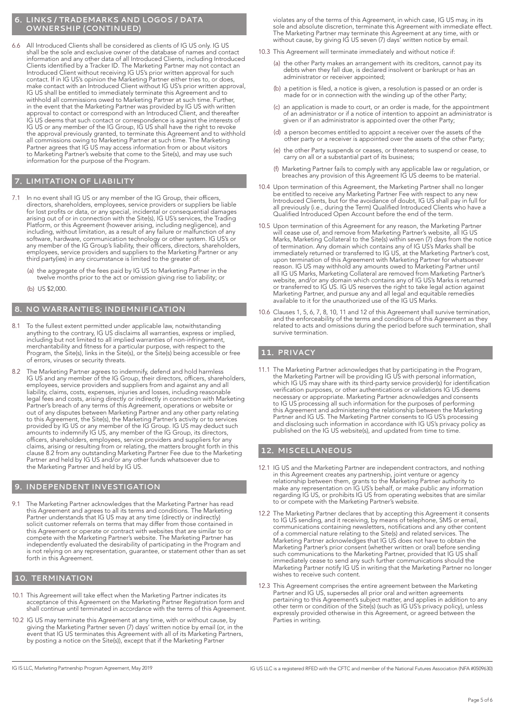### **6. LINKS / TRADEMARKS AND LOGOS / DATA OWNERSHIP (CONTINUED)**

6.6 All Introduced Clients shall be considered as clients of IG US only. IG US shall be the sole and exclusive owner of the database of names and contact information and any other data of all Introduced Clients, including Introduced Clients identified by a Tracker ID. The Marketing Partner may not contact an Introduced Client without receiving IG US's prior written approval for such contact. If in IG US's opinion the Marketing Partner either tries to, or does, make contact with an Introduced Client without IG US's prior written approval, IG US shall be entitled to immediately terminate this Agreement and to withhold all commissions owed to Marketing Partner at such time. Further, in the event that the Marketing Partner was provided by IG US with written approval to contact or correspond with an Introduced Client, and thereafter IG US deems that such contact or correspondence is against the interests of IG US or any member of the IG Group, IG US shall have the right to revoke the approval previously granted, to terminate this Agreement and to withhold all commissions owing to Marketing Partner at such time. The Marketing Partner agrees that IG US may access information from or about visitors to Marketing Partner's website that come to the Site(s), and may use such information for the purpose of the Program.

# **7. LIMITATION OF LIABILITY**

- In no event shall IG US or any member of the IG Group, their officers, directors, shareholders, employees, service providers or suppliers be liable for lost profits or data, or any special, incidental or consequential damages arising out of or in connection with the Site(s), IG US's services, the Trading Platform, or this Agreement (however arising, including negligence), and including, without limitation, as a result of any failure or malfunction of any software, hardware, communication technology or other system. IG US's or any member of the IG Group's liability, their officers, directors, shareholders, employees, service providers and suppliers to the Marketing Partner or any third party(ies) in any circumstance is limited to the greater of:
	- (a) the aggregate of the fees paid by IG US to Marketing Partner in the twelve months prior to the act or omission giving rise to liability; or
	- (b) US \$2,000

# **8. NO WARRANTIES; INDEMNIFICATION**

- To the fullest extent permitted under applicable law, notwithstanding anything to the contrary, IG US disclaims all warranties, express or implied, including but not limited to all implied warranties of non-infringement, merchantability and fitness for a particular purpose, with respect to the Program, the Site(s), links in the Site(s), or the Site(s) being accessible or free of errors, viruses or security threats.
- 8.2 The Marketing Partner agrees to indemnify, defend and hold harmless IG US and any member of the IG Group, their directors, officers, shareholders, employees, service providers and suppliers from and against any and all liability, claims, costs, expenses, injuries and losses, including reasonable legal fees and costs, arising directly or indirectly in connection with Marketing Partner's breach of any terms of this Agreement, operations or website or out of any disputes between Marketing Partner and any other party relating to this Agreement, the Site(s), the Marketing Partner's activity or to services provided by IG US or any member of the IG Group. IG US may deduct such amounts to indemnify IG US, any member of the IG Group, its directors, officers, shareholders, employees, service providers and suppliers for any claims, arising or resulting from or relating, the matters brought forth in this clause 8.2 from any outstanding Marketing Partner Fee due to the Marketing Partner and held by IG US and/or any other funds whatsoever due to the Marketing Partner and held by IG US.

# **9. INDEPENDENT INVESTIGATION**

The Marketing Partner acknowledges that the Marketing Partner has read this Agreement and agrees to all its terms and conditions. The Marketing Partner understands that IG US may at any time (directly or indirectly) solicit customer referrals on terms that may differ from those contained in this Agreement or operate or contract with websites that are similar to or compete with the Marketing Partner's website. The Marketing Partner has independently evaluated the desirability of participating in the Program and is not relying on any representation, guarantee, or statement other than as set forth in this Agreement.

### **10. TERMINATION**

- 10.1 This Agreement will take effect when the Marketing Partner indicates its acceptance of this Agreement on the Marketing Partner Registration form and shall continue until terminated in accordance with the terms of this Agreement.
- 10.2 IG US may terminate this Agreement at any time, with or without cause, by giving the Marketing Partner seven (7) days' written notice by email (or, in the event that IG US terminates this Agreement with all of its Marketing Partners, by posting a notice on the Site(s)), except that if the Marketing Partner

violates any of the terms of this Agreement, in which case, IG US may, in its sole and absolute discretion, terminate this Agreement with immediate effect. The Marketing Partner may terminate this Agreement at any time, with or without cause, by giving IG US seven (7) days' written notice by email.

- 10.3 This Agreement will terminate immediately and without notice if:
	- (a) the other Party makes an arrangement with its creditors, cannot pay its debts when they fall due, is declared insolvent or bankrupt or has an administrator or receiver appointed;
- (b) a petition is filed, a notice is given, a resolution is passed or an order is made for or in connection with the winding up of the other Party;
	- (c) an application is made to court, or an order is made, for the appointment of an administrator or if a notice of intention to appoint an administrator is given or if an administrator is appointed over the other Party;
	- (d) a person becomes entitled to appoint a receiver over the assets of the other party or a receiver is appointed over the assets of the other Party;
	- (e) the other Party suspends or ceases, or threatens to suspend or cease, to carry on all or a substantial part of its business;
	- (f) Marketing Partner fails to comply with any applicable law or regulation, or breaches any provision of this Agreement IG US deems to be material.
- 10.4 Upon termination of this Agreement, the Marketing Partner shall no longer be entitled to receive any Marketing Partner Fee with respect to any new Introduced Clients, but for the avoidance of doubt, IG US shall pay in full for all previously (i.e., during the Term) Qualified Introduced Clients who have a Qualified Introduced Open Account before the end of the term.
- 10.5 Upon termination of this Agreement for any reason, the Marketing Partner will cease use of, and remove from Marketing Partner's website, all IG US Marks, Marketing Collateral to the Site(s) within seven (7) days from the notice of termination. Any domain which contains any of IG US's Marks shall be immediately returned or transferred to IG US, at the Marketing Partner's cost, upon termination of this Agreement with Marketing Partner for whatsoever reason. IG US may withhold any amounts owed to Marketing Partner until all IG US Marks, Marketing Collateral are removed from Marketing Partner's website, and/or any domain which contains any of IG US's Marks is returned or transferred to IG US. IG US reserves the right to take legal action against Marketing Partner, and pursue any and all legal and equitable remedies available to it for the unauthorized use of the IG US Marks.
- 10.6 Clauses 1, 5, 6, 7, 8, 10, 11 and 12 of this Agreement shall survive termination, and the enforceability of the terms and conditions of this Agreement as they related to acts and omissions during the period before such termination, shall survive termination.

## **11. PRIVACY**

11.1 The Marketing Partner acknowledges that by participating in the Program, the Marketing Partner will be providing IG US with personal information, which IG US may share with its third-party service provider(s) for identification verification purposes, or other authentications or validations IG US deems necessary or appropriate. Marketing Partner acknowledges and consents to IG US processing all such information for the purposes of performing this Agreement and administering the relationship between the Marketing Partner and IG US. The Marketing Partner consents to IG US's processing and disclosing such information in accordance with IG US's privacy policy as published on the IG US website(s), and updated from time to time.

# **12. MISCELLANEOUS**

- 12.1 IG US and the Marketing Partner are independent contractors, and nothing in this Agreement creates any partnership, joint venture or agency relationship between them, grants to the Marketing Partner authority to make any representation on IG US's behalf, or make public any information regarding IG US, or prohibits IG US from operating websites that are similar to or compete with the Marketing Partner's website.
- 12.2 The Marketing Partner declares that by accepting this Agreement it consents to IG US sending, and it receiving, by means of telephone, SMS or email, communications containing newsletters, notifications and any other content of a commercial nature relating to the Site(s) and related services. The Marketing Partner acknowledges that IG US does not have to obtain the Marketing Partner's prior consent (whether written or oral) before sending such communications to the Marketing Partner, provided that IG US shall immediately cease to send any such further communications should the Marketing Partner notify IG US in writing that the Marketing Partner no longer wishes to receive such content.
- 12.3 This Agreement comprises the entire agreement between the Marketing Partner and IG US, supersedes all prior oral and written agreements pertaining to this Agreement's subject matter, and applies in addition to any other term or condition of the Site(s) (such as IG US's privacy policy), unless expressly provided otherwise in this Agreement, or agreed between the Parties in writing.